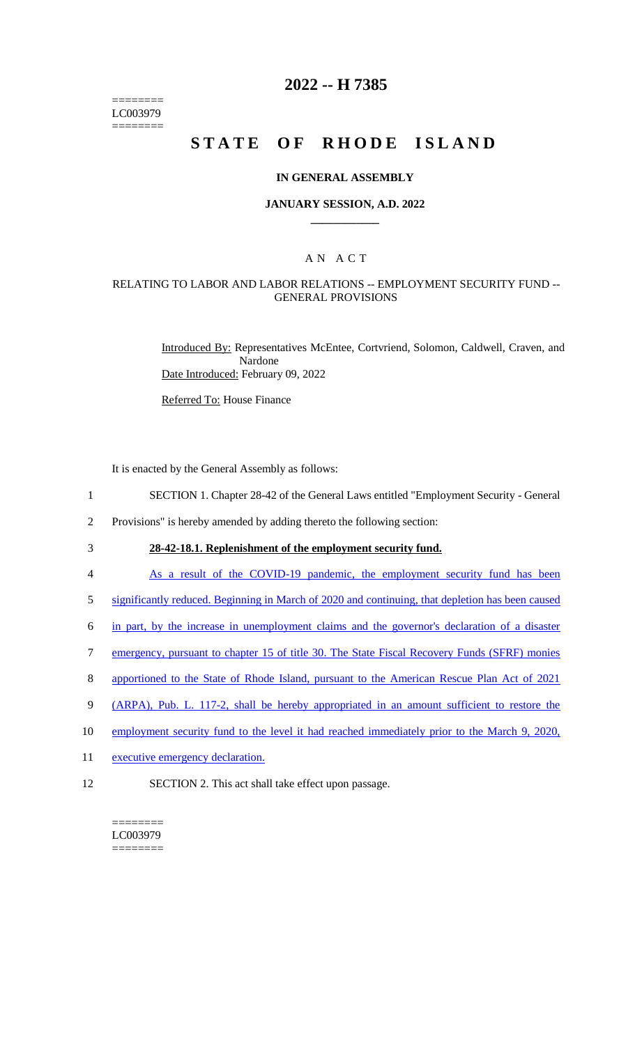======== LC003979 ========

## **2022 -- H 7385**

# **STATE OF RHODE ISLAND**

#### **IN GENERAL ASSEMBLY**

#### **JANUARY SESSION, A.D. 2022 \_\_\_\_\_\_\_\_\_\_\_\_**

## A N A C T

#### RELATING TO LABOR AND LABOR RELATIONS -- EMPLOYMENT SECURITY FUND -- GENERAL PROVISIONS

Introduced By: Representatives McEntee, Cortvriend, Solomon, Caldwell, Craven, and Nardone Date Introduced: February 09, 2022

Referred To: House Finance

It is enacted by the General Assembly as follows:

- 1 SECTION 1. Chapter 28-42 of the General Laws entitled "Employment Security General
- 2 Provisions" is hereby amended by adding thereto the following section:
- 

3 **28-42-18.1. Replenishment of the employment security fund.** 

- 4 As a result of the COVID-19 pandemic, the employment security fund has been
- 5 significantly reduced. Beginning in March of 2020 and continuing, that depletion has been caused
- 6 in part, by the increase in unemployment claims and the governor's declaration of a disaster
- 7 emergency, pursuant to chapter 15 of title 30. The State Fiscal Recovery Funds (SFRF) monies
- 8 apportioned to the State of Rhode Island, pursuant to the American Rescue Plan Act of 2021
- 9 (ARPA), Pub. L. 117-2, shall be hereby appropriated in an amount sufficient to restore the
- 10 employment security fund to the level it had reached immediately prior to the March 9, 2020,
- 11 executive emergency declaration.
- 12 SECTION 2. This act shall take effect upon passage.

======== LC003979 ========